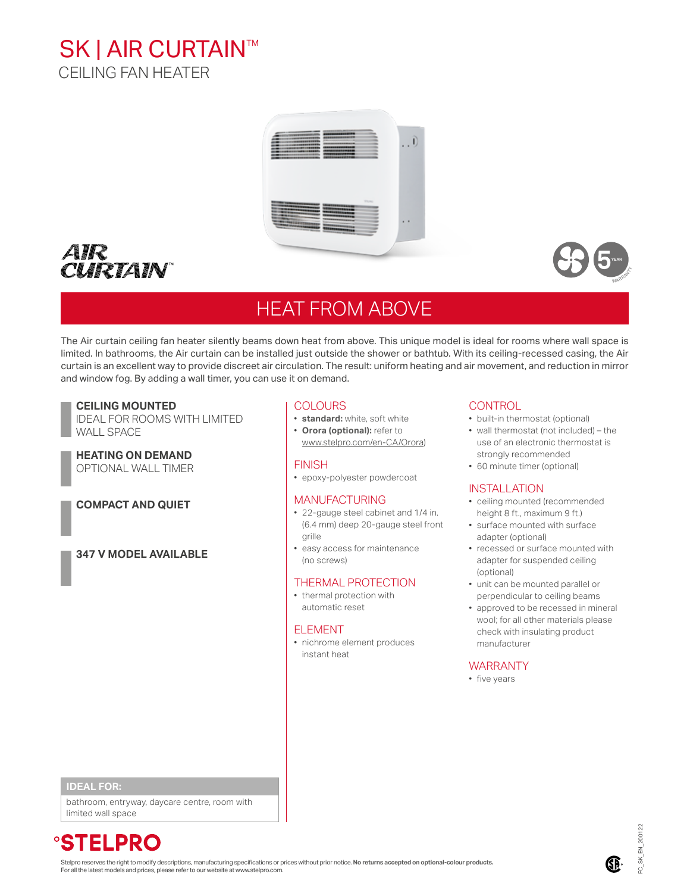# **SK | AIR CURTAIN™** CEILING FAN HEATER







**YEAR ANS ANS** 

# HEAT FROM ABOVE

WARRANT<sup>Y</sup> The Air curtain ceiling fan heater silently beams down heat from above. This unique model is ideal for rooms where wall space is limited. In bathrooms, the Air curtain can be installed just outside the shower or bathtub. With its ceiling-recessed casing, the Air curtain is an excellent way to provide discreet air circulation. The result: uniform heating and air movement, and reduction in mirror and window fog. By adding a wall timer, you can use it on demand.

# **CEILING MOUNTED**

IDEAL FOR ROOMS WITH LIMITED WALL SPACE

#### **HEATING ON DEMAND** OPTIONAL WALL TIMER

# **COMPACT AND QUIET**

**347 V MODEL AVAILABLE**

# COLOURS

- **standard:** white, soft white
- **Orora (optional):** refer to [www.stelpro.com/en-CA/Orora](http://www.stelpro.com/en-CA/orora))
- 

# **FINISH**

• epoxy-polyester powdercoat

### MANUFACTURING

- 22-gauge steel cabinet and 1/4 in. (6.4 mm) deep 20-gauge steel front grille
- easy access for maintenance (no screws)

# THERMAL PROTECTION

• thermal protection with automatic reset

#### ELEMENT

• nichrome element produces instant heat

### **CONTROL**

- built-in thermostat (optional)
- wall thermostat (not included) the use of an electronic thermostat is strongly recommended
- 60 minute timer (optional)

#### INSTALLATION

- ceiling mounted (recommended height 8 ft., maximum 9 ft.)
- surface mounted with surface adapter (optional)
- recessed or surface mounted with adapter for suspended ceiling (optional)
- unit can be mounted parallel or perpendicular to ceiling beams
- approved to be recessed in mineral wool; for all other materials please check with insulating product manufacturer

### WARRANTY

• five years

### **IDEAL FOR:**

bathroom, entryway, daycare centre, room with limited wall space

*<b>°STELPRO* 

Stelpro reserves the right to modify descriptions, manufacturing specifications or prices without prior notice. No return<mark>s accepted on optional-colour products.</mark><br>For all the latest models and prices, please refer to our w